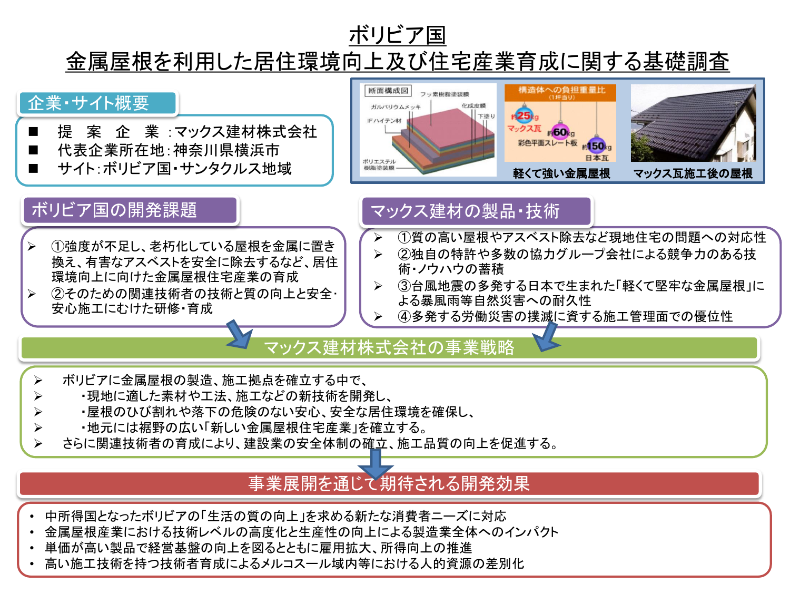## ボリビア国

# 金属屋根を利用した居住環境向上及び住宅産業育成に関する基礎調査



- 金属屋根産業における技術レベルの高度化と生産性の向上による製造業全体へのインパクト
- 単価が高い製品で経営基盤の向上を図るとともに雇用拡大、所得向上の推進
- 高い施工技術を持つ技術者育成によるメルコスール域内等における人的資源の差別化